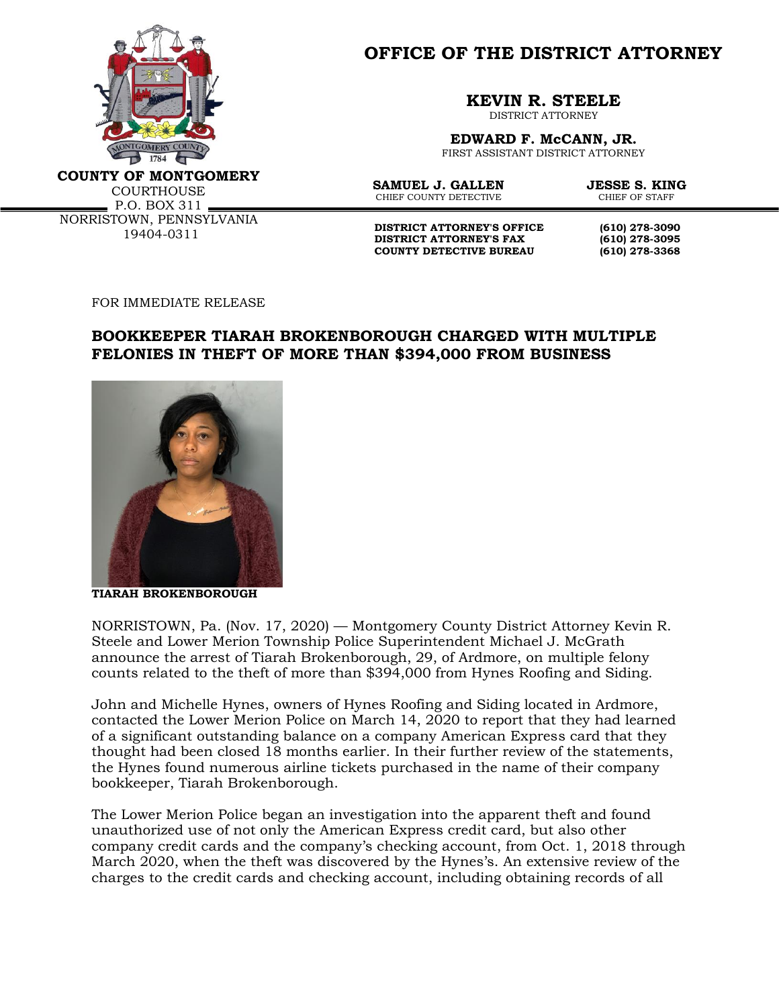

**OFFICE OF THE DISTRICT ATTORNEY**

**KEVIN R. STEELE**

DISTRICT ATTORNEY

**EDWARD F. McCANN, JR.** FIRST ASSISTANT DISTRICT ATTORNEY

**COUNTY OF MONTGOMERY**

**COURTHOUSE**  $P.0. BOX 311 -$ NORRISTOWN, PENNSYLVANIA 19404-0311

**SAMUEL J. GALLEN JESSE S. KING**<br>CHIEF COUNTY DETECTIVE CHIEF OF STAFF CHIEF COUNTY DETECTIVE

**DISTRICT ATTORNEY'S OFFICE** (610) 278-3090<br>DISTRICT ATTORNEY'S FAX (610) 278-3095 **DISTRICT ATTORNEY'S FAX (610) 278-3095 COUNTY DETECTIVE BUREAU (610) 278-3368**

FOR IMMEDIATE RELEASE

## **BOOKKEEPER TIARAH BROKENBOROUGH CHARGED WITH MULTIPLE FELONIES IN THEFT OF MORE THAN \$394,000 FROM BUSINESS**



**TIARAH BROKENBOROUGH**

NORRISTOWN, Pa. (Nov. 17, 2020) — Montgomery County District Attorney Kevin R. Steele and Lower Merion Township Police Superintendent Michael J. McGrath announce the arrest of Tiarah Brokenborough, 29, of Ardmore, on multiple felony counts related to the theft of more than \$394,000 from Hynes Roofing and Siding.

John and Michelle Hynes, owners of Hynes Roofing and Siding located in Ardmore, contacted the Lower Merion Police on March 14, 2020 to report that they had learned of a significant outstanding balance on a company American Express card that they thought had been closed 18 months earlier. In their further review of the statements, the Hynes found numerous airline tickets purchased in the name of their company bookkeeper, Tiarah Brokenborough.

The Lower Merion Police began an investigation into the apparent theft and found unauthorized use of not only the American Express credit card, but also other company credit cards and the company's checking account, from Oct. 1, 2018 through March 2020, when the theft was discovered by the Hynes's. An extensive review of the charges to the credit cards and checking account, including obtaining records of all